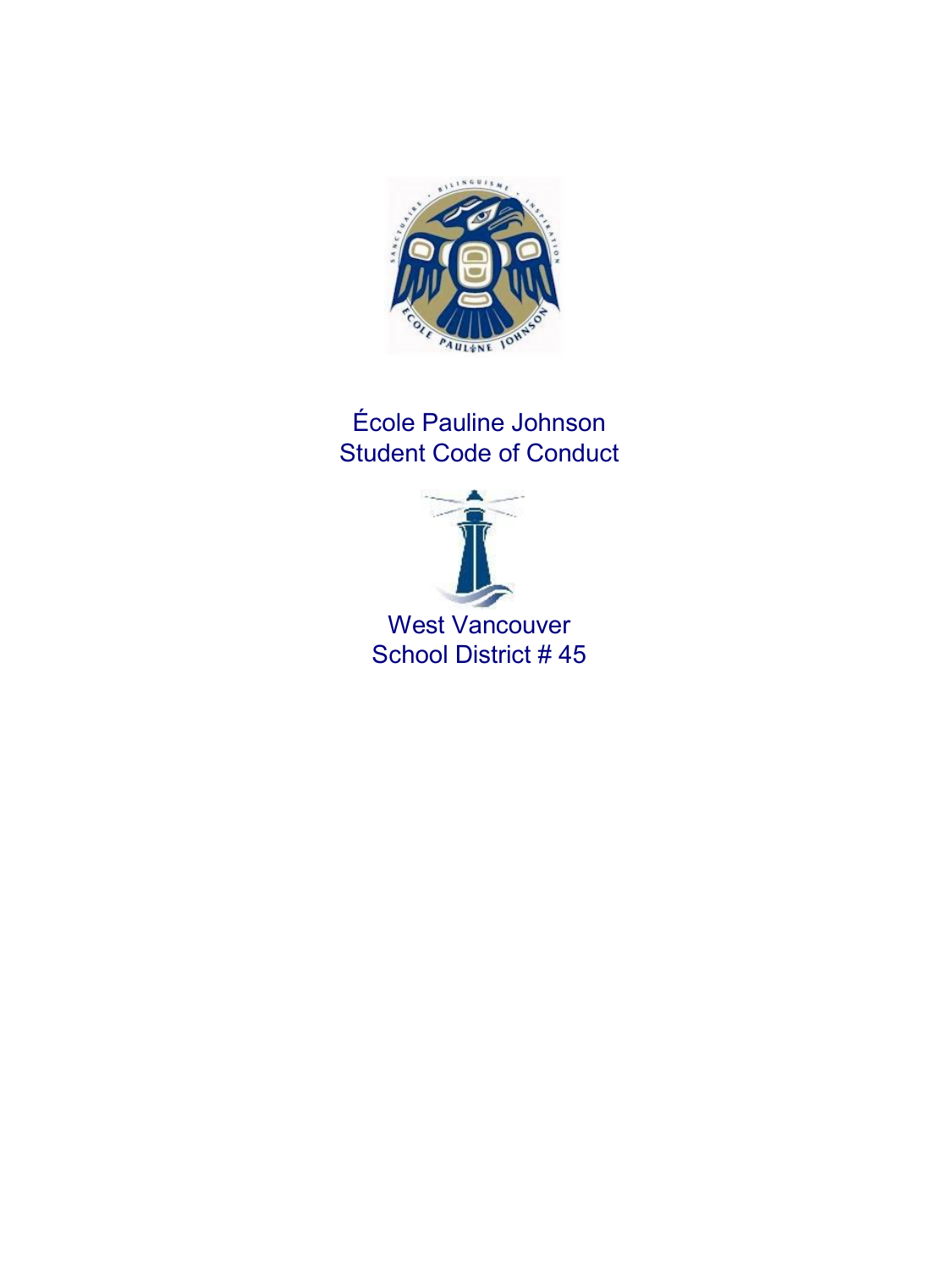

## École Pauline Johnson Student Code of Conduct

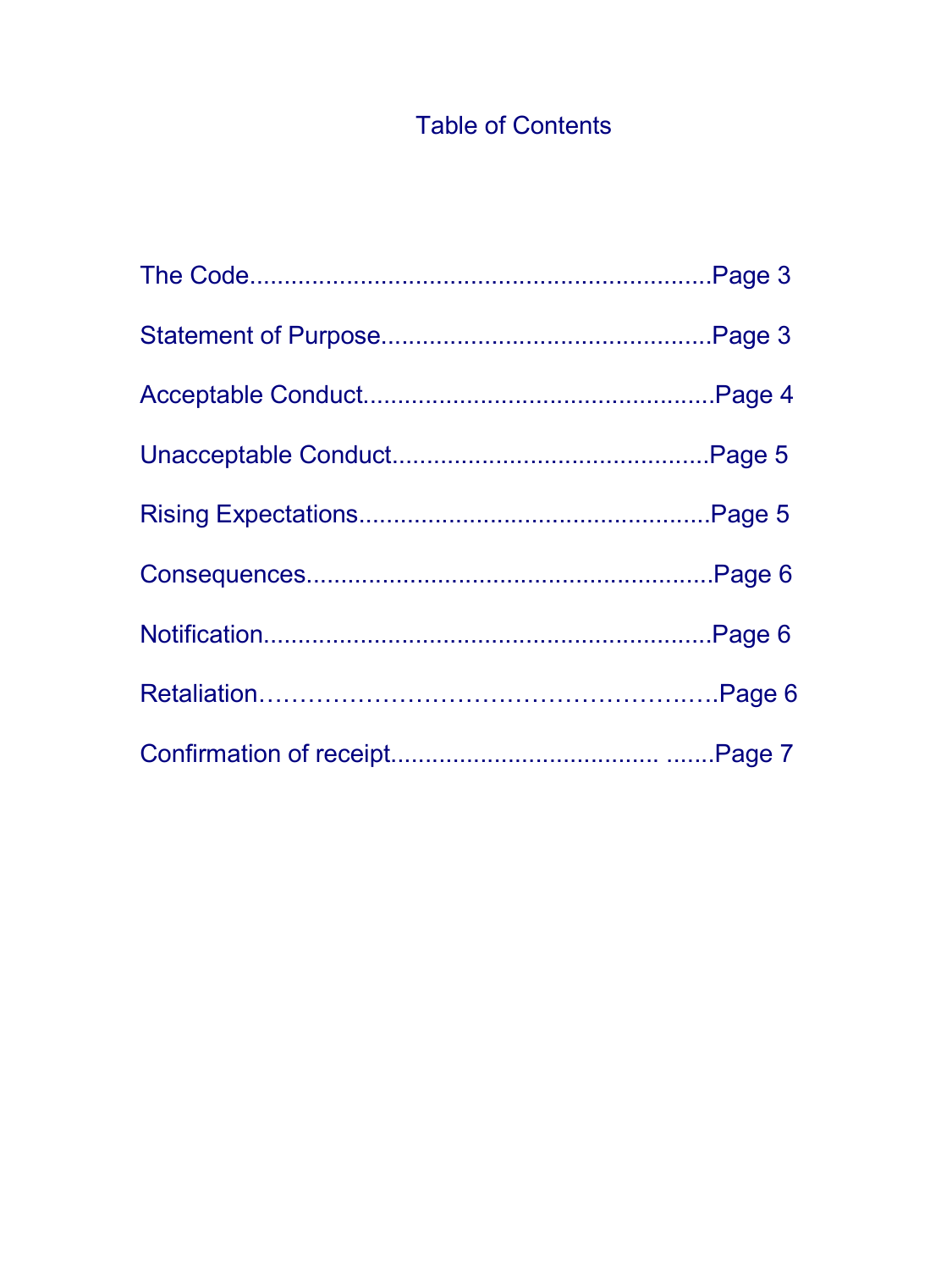# Table of Contents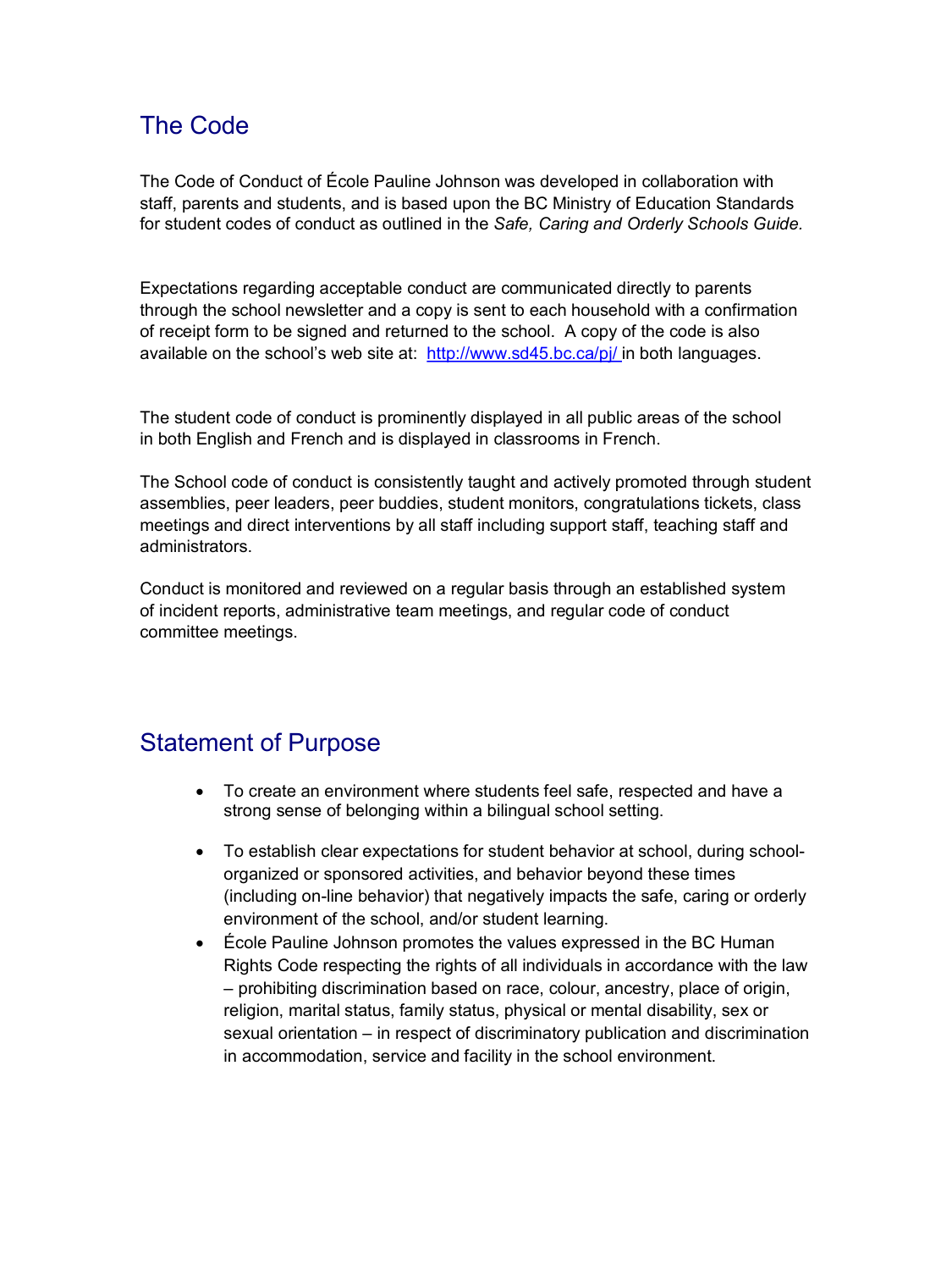### The Code

The Code of Conduct of École Pauline Johnson was developed in collaboration with staff, parents and students, and is based upon the BC Ministry of Education Standards for student codes of conduct as outlined in the *Safe, Caring and Orderly Schools Guide.*

Expectations regarding acceptable conduct are communicated directly to parents through the school newsletter and a copy is sent to each household with a confirmation of receipt form to be signed and returned to the school. A copy of the code is also available on the school's web site at: <http://www.sd45.bc.ca/pj/>in both languages.

The student code of conduct is prominently displayed in all public areas of the school in both English and French and is displayed in classrooms in French.

The School code of conduct is consistently taught and actively promoted through student assemblies, peer leaders, peer buddies, student monitors, congratulations tickets, class meetings and direct interventions by all staff including support staff, teaching staff and administrators.

Conduct is monitored and reviewed on a regular basis through an established system of incident reports, administrative team meetings, and regular code of conduct committee meetings.

### Statement of Purpose

- · To create an environment where students feel safe, respected and have a strong sense of belonging within a bilingual school setting.
- · To establish clear expectations for student behavior at school, during schoolorganized or sponsored activities, and behavior beyond these times (including on-line behavior) that negatively impacts the safe, caring or orderly environment of the school, and/or student learning.
- · École Pauline Johnson promotes the values expressed in the BC Human Rights Code respecting the rights of all individuals in accordance with the law – prohibiting discrimination based on race, colour, ancestry, place of origin, religion, marital status, family status, physical or mental disability, sex or sexual orientation – in respect of discriminatory publication and discrimination in accommodation, service and facility in the school environment.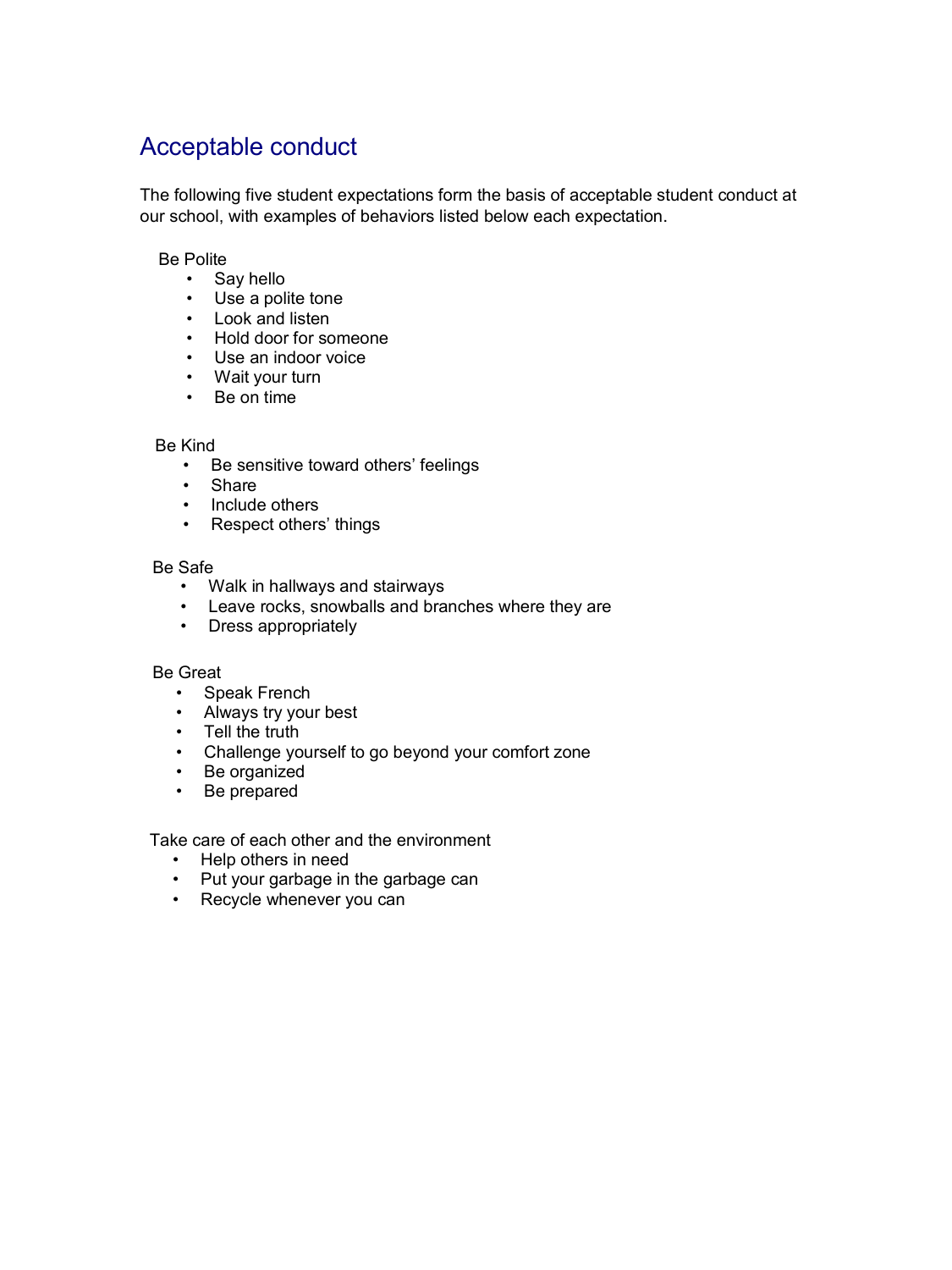## Acceptable conduct

The following five student expectations form the basis of acceptable student conduct at our school, with examples of behaviors listed below each expectation.

#### Be Polite

- Say hello
- Use a polite tone
- Look and listen
- Hold door for someone
- Use an indoor voice
- Wait your turn
- Be on time

#### Be Kind

- Be sensitive toward others' feelings
- Share
- Include others
- Respect others' things

#### Be Safe

- Walk in hallways and stairways
- Leave rocks, snowballs and branches where they are
- Dress appropriately

#### Be Great

- Speak French
- Always try your best
- Tell the truth
- Challenge yourself to go beyond your comfort zone
- Be organized
- Be prepared

Take care of each other and the environment

- Help others in need
- Put your garbage in the garbage can
- Recycle whenever you can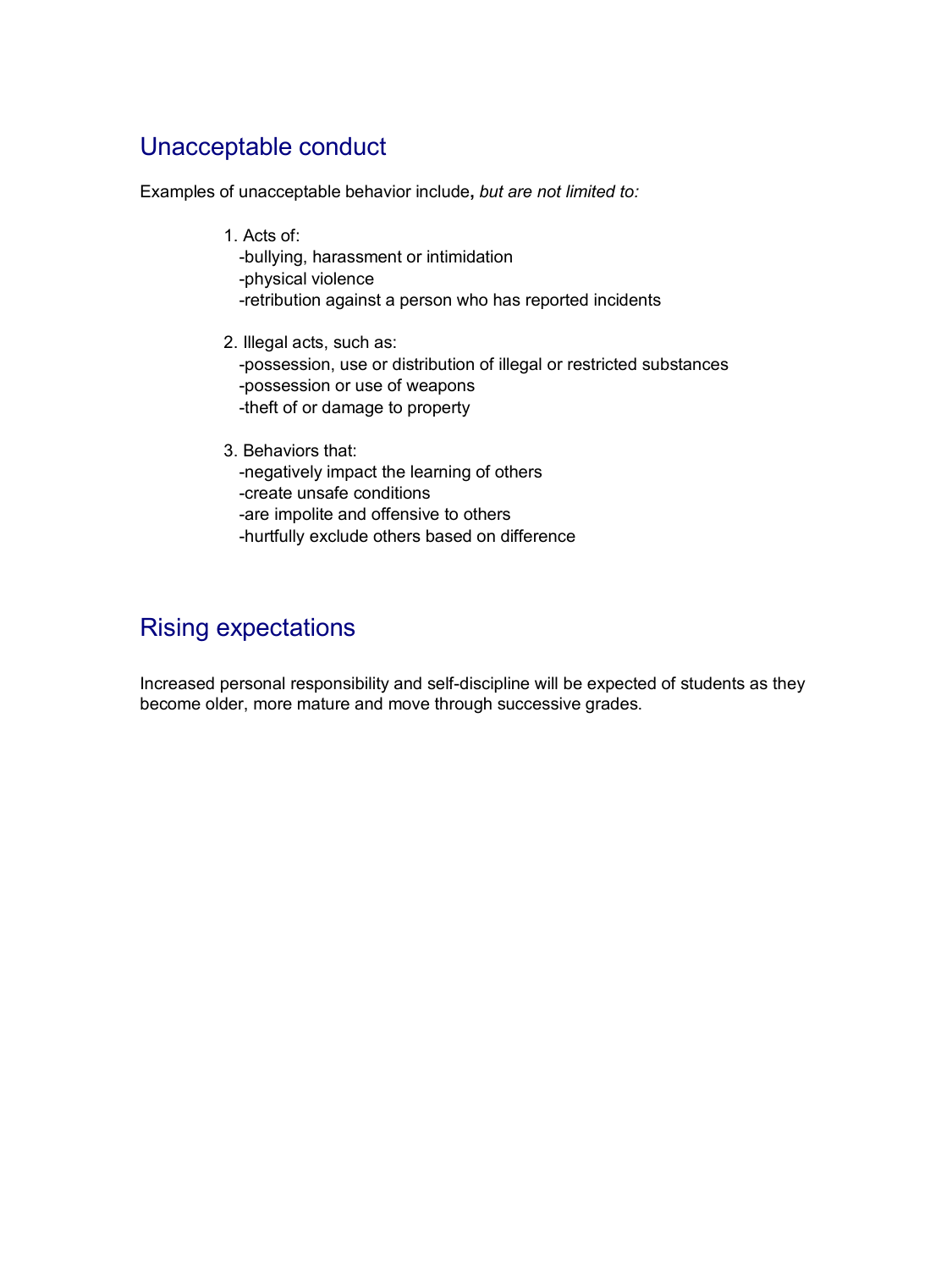### Unacceptable conduct

Examples of unacceptable behavior include**,** *but are not limited to:*

- 1. Acts of: bullying, harassment or intimidation physical violence retribution against a person who has reported incidents
- 2. Illegal acts, such as: possession, use or distribution of illegal or restricted substances possession or use of weapons theft of or damage to property
- 3. Behaviors that: negatively impact the learning of others create unsafe conditions are impolite and offensive to others hurtfully exclude others based on difference

## Rising expectations

Increased personal responsibility and self-discipline will be expected of students as they become older, more mature and move through successive grades.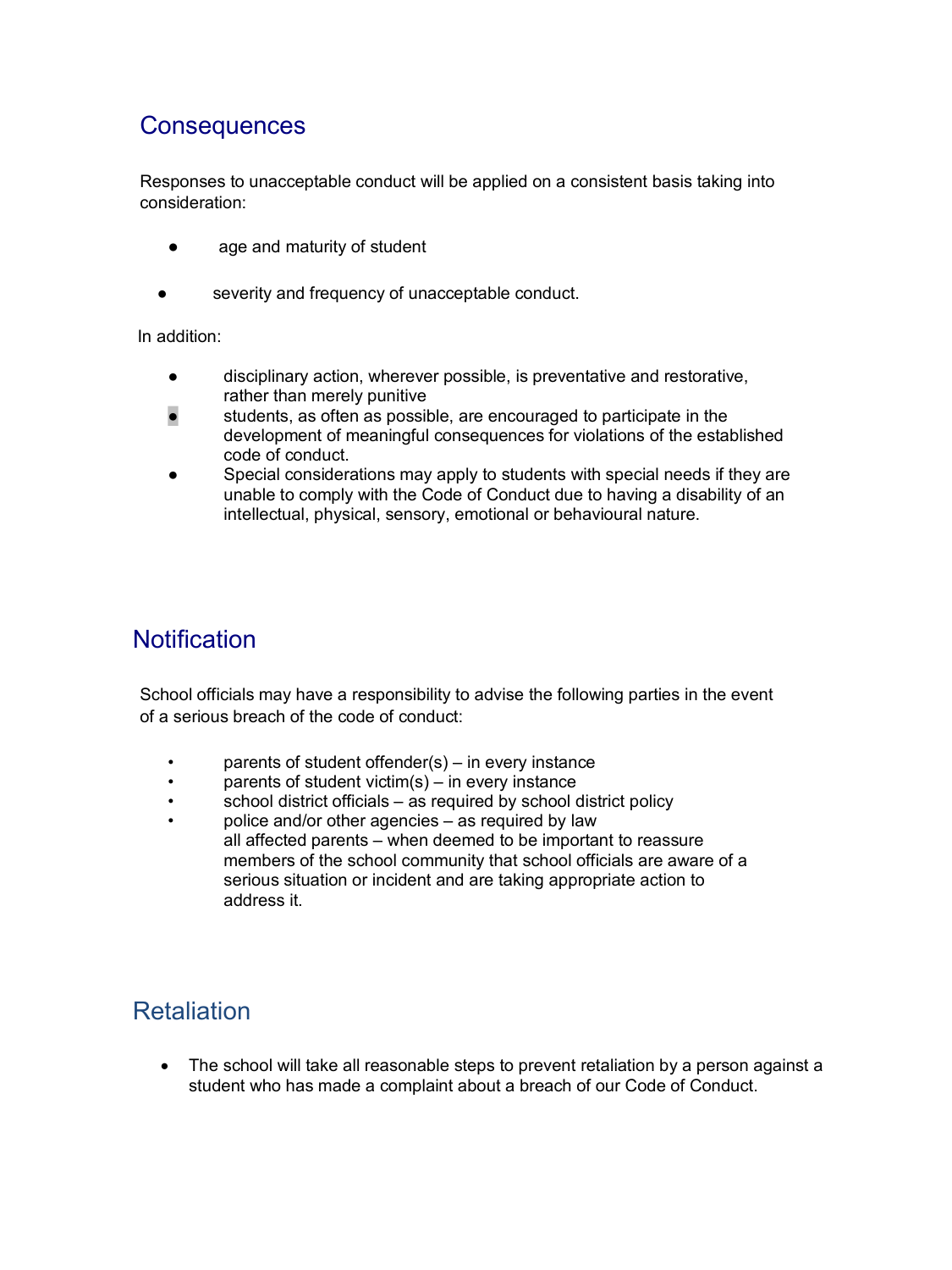### **Consequences**

Responses to unacceptable conduct will be applied on a consistent basis taking into consideration:

- age and maturity of student
- severity and frequency of unacceptable conduct.

In addition:

- disciplinary action, wherever possible, is preventative and restorative, rather than merely punitive
- students, as often as possible, are encouraged to participate in the development of meaningful consequences for violations of the established code of conduct.
- Special considerations may apply to students with special needs if they are unable to comply with the Code of Conduct due to having a disability of an intellectual, physical, sensory, emotional or behavioural nature.

### **Notification**

School officials may have a responsibility to advise the following parties in the event of a serious breach of the code of conduct:

- parents of student offender(s)  $-$  in every instance
- parents of student victim(s) in every instance
- school district officials as required by school district policy
- police and/or other agencies as required by law all affected parents – when deemed to be important to reassure members of the school community that school officials are aware of a serious situation or incident and are taking appropriate action to address it.

### **Retaliation**

· The school will take all reasonable steps to prevent retaliation by a person against a student who has made a complaint about a breach of our Code of Conduct.